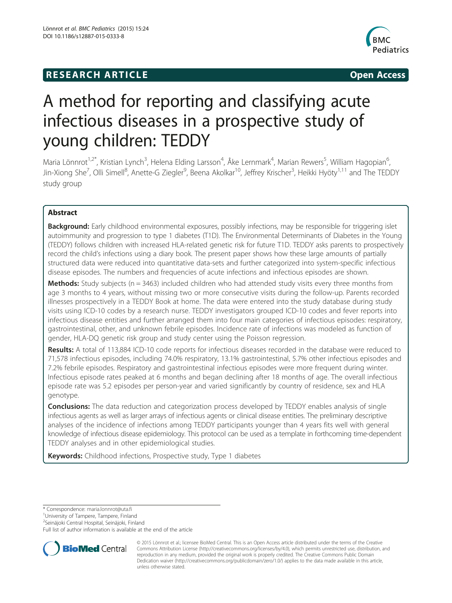# **RESEARCH ARTICLE Example 2014 The SEAR CH ACCESS**



# A method for reporting and classifying acute infectious diseases in a prospective study of young children: TEDDY

Maria Lönnrot<sup>1,2\*</sup>, Kristian Lynch<sup>3</sup>, Helena Elding Larsson<sup>4</sup>, Åke Lernmark<sup>4</sup>, Marian Rewers<sup>5</sup>, William Hagopian<sup>6</sup> , Jin-Xiong She<sup>7</sup>, Olli Simell<sup>8</sup>, Anette-G Ziegler<sup>9</sup>, Beena Akolkar<sup>10</sup>, Jeffrey Krischer<sup>3</sup>, Heikki Hyöty<sup>1,11</sup> and The TEDDY study group

## Abstract

Background: Early childhood environmental exposures, possibly infections, may be responsible for triggering islet autoimmunity and progression to type 1 diabetes (T1D). The Environmental Determinants of Diabetes in the Young (TEDDY) follows children with increased HLA-related genetic risk for future T1D. TEDDY asks parents to prospectively record the child's infections using a diary book. The present paper shows how these large amounts of partially structured data were reduced into quantitative data-sets and further categorized into system-specific infectious disease episodes. The numbers and frequencies of acute infections and infectious episodes are shown.

**Methods:** Study subjects ( $n = 3463$ ) included children who had attended study visits every three months from age 3 months to 4 years, without missing two or more consecutive visits during the follow-up. Parents recorded illnesses prospectively in a TEDDY Book at home. The data were entered into the study database during study visits using ICD-10 codes by a research nurse. TEDDY investigators grouped ICD-10 codes and fever reports into infectious disease entities and further arranged them into four main categories of infectious episodes: respiratory, gastrointestinal, other, and unknown febrile episodes. Incidence rate of infections was modeled as function of gender, HLA-DQ genetic risk group and study center using the Poisson regression.

Results: A total of 113,884 ICD-10 code reports for infectious diseases recorded in the database were reduced to 71,578 infectious episodes, including 74.0% respiratory, 13.1% gastrointestinal, 5.7% other infectious episodes and 7.2% febrile episodes. Respiratory and gastrointestinal infectious episodes were more frequent during winter. Infectious episode rates peaked at 6 months and began declining after 18 months of age. The overall infectious episode rate was 5.2 episodes per person-year and varied significantly by country of residence, sex and HLA genotype.

**Conclusions:** The data reduction and categorization process developed by TEDDY enables analysis of single infectious agents as well as larger arrays of infectious agents or clinical disease entities. The preliminary descriptive analyses of the incidence of infections among TEDDY participants younger than 4 years fits well with general knowledge of infectious disease epidemiology. This protocol can be used as a template in forthcoming time-dependent TEDDY analyses and in other epidemiological studies.

Keywords: Childhood infections, Prospective study, Type 1 diabetes

\* Correspondence: [maria.lonnrot@uta.fi](mailto:maria.lonnrot@uta.fi) <sup>1</sup>

University of Tampere, Tampere, Finland

<sup>2</sup>Seinäjoki Central Hospital, Seinäjoki, Finland

Full list of author information is available at the end of the article



<sup>© 2015</sup> Lönnrot et al.; licensee BioMed Central. This is an Open Access article distributed under the terms of the Creative Commons Attribution License [\(http://creativecommons.org/licenses/by/4.0\)](http://creativecommons.org/licenses/by/4.0), which permits unrestricted use, distribution, and reproduction in any medium, provided the original work is properly credited. The Creative Commons Public Domain Dedication waiver [\(http://creativecommons.org/publicdomain/zero/1.0/](http://creativecommons.org/publicdomain/zero/1.0/)) applies to the data made available in this article, unless otherwise stated.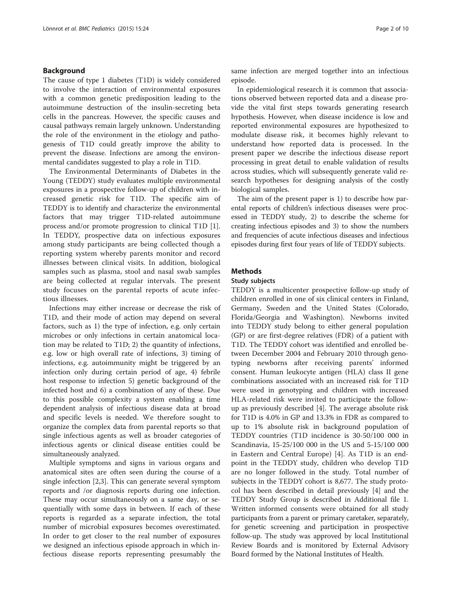#### Background

The cause of type 1 diabetes (T1D) is widely considered to involve the interaction of environmental exposures with a common genetic predisposition leading to the autoimmune destruction of the insulin-secreting beta cells in the pancreas. However, the specific causes and causal pathways remain largely unknown. Understanding the role of the environment in the etiology and pathogenesis of T1D could greatly improve the ability to prevent the disease. Infections are among the environmental candidates suggested to play a role in T1D.

The Environmental Determinants of Diabetes in the Young (TEDDY) study evaluates multiple environmental exposures in a prospective follow-up of children with increased genetic risk for T1D. The specific aim of TEDDY is to identify and characterize the environmental factors that may trigger T1D-related autoimmune process and/or promote progression to clinical T1D [\[1](#page-9-0)]. In TEDDY, prospective data on infectious exposures among study participants are being collected though a reporting system whereby parents monitor and record illnesses between clinical visits. In addition, biological samples such as plasma, stool and nasal swab samples are being collected at regular intervals. The present study focuses on the parental reports of acute infectious illnesses.

Infections may either increase or decrease the risk of T1D, and their mode of action may depend on several factors, such as 1) the type of infection, e.g. only certain microbes or only infections in certain anatomical location may be related to T1D; 2) the quantity of infections, e.g. low or high overall rate of infections, 3) timing of infections, e.g. autoimmunity might be triggered by an infection only during certain period of age, 4) febrile host response to infection 5) genetic background of the infected host and 6) a combination of any of these. Due to this possible complexity a system enabling a time dependent analysis of infectious disease data at broad and specific levels is needed. We therefore sought to organize the complex data from parental reports so that single infectious agents as well as broader categories of infectious agents or clinical disease entities could be simultaneously analyzed.

Multiple symptoms and signs in various organs and anatomical sites are often seen during the course of a single infection [\[2,3](#page-9-0)]. This can generate several symptom reports and /or diagnosis reports during one infection. These may occur simultaneously on a same day, or sequentially with some days in between. If each of these reports is regarded as a separate infection, the total number of microbial exposures becomes overestimated. In order to get closer to the real number of exposures we designed an infectious episode approach in which infectious disease reports representing presumably the same infection are merged together into an infectious episode.

In epidemiological research it is common that associations observed between reported data and a disease provide the vital first steps towards generating research hypothesis. However, when disease incidence is low and reported environmental exposures are hypothesized to modulate disease risk, it becomes highly relevant to understand how reported data is processed. In the present paper we describe the infectious disease report processing in great detail to enable validation of results across studies, which will subsequently generate valid research hypotheses for designing analysis of the costly biological samples.

The aim of the present paper is 1) to describe how parental reports of children's infectious diseases were processed in TEDDY study, 2) to describe the scheme for creating infectious episodes and 3) to show the numbers and frequencies of acute infectious diseases and infectious episodes during first four years of life of TEDDY subjects.

#### Methods

#### Study subjects

TEDDY is a multicenter prospective follow-up study of children enrolled in one of six clinical centers in Finland, Germany, Sweden and the United States (Colorado, Florida/Georgia and Washington). Newborns invited into TEDDY study belong to either general population (GP) or are first-degree relatives (FDR) of a patient with T1D. The TEDDY cohort was identified and enrolled between December 2004 and February 2010 through genotyping newborns after receiving parents' informed consent. Human leukocyte antigen (HLA) class II gene combinations associated with an increased risk for T1D were used in genotyping and children with increased HLA-related risk were invited to participate the followup as previously described [\[4\]](#page-9-0). The average absolute risk for T1D is 4.0% in GP and 13.3% in FDR as compared to up to 1% absolute risk in background population of TEDDY countries (T1D incidence is 30-50/100 000 in Scandinavia, 15-25/100 000 in the US and 5-15/100 000 in Eastern and Central Europe) [\[4](#page-9-0)]. As T1D is an endpoint in the TEDDY study, children who develop T1D are no longer followed in the study. Total number of subjects in the TEDDY cohort is 8,677. The study protocol has been described in detail previously [[4\]](#page-9-0) and the TEDDY Study Group is described in Additional file [1](#page-8-0). Written informed consents were obtained for all study participants from a parent or primary caretaker, separately, for genetic screening and participation in prospective follow-up. The study was approved by local Institutional Review Boards and is monitored by External Advisory Board formed by the National Institutes of Health.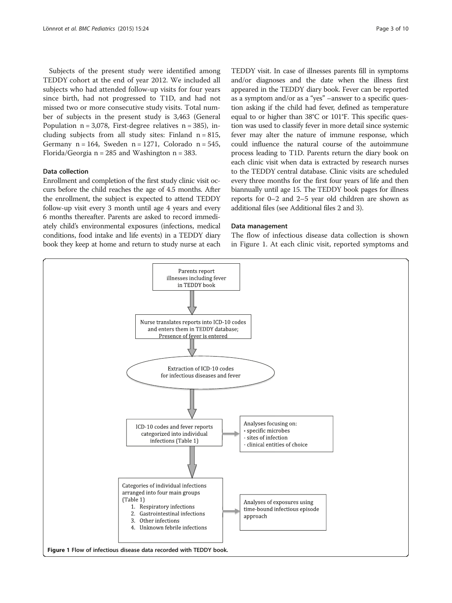Subjects of the present study were identified among TEDDY cohort at the end of year 2012. We included all subjects who had attended follow-up visits for four years since birth, had not progressed to T1D, and had not missed two or more consecutive study visits. Total number of subjects in the present study is 3,463 (General Population  $n = 3,078$ , First-degree relatives  $n = 385$ ), including subjects from all study sites: Finland  $n = 815$ , Germany  $n = 164$ , Sweden  $n = 1271$ , Colorado  $n = 545$ , Florida/Georgia  $n = 285$  and Washington  $n = 383$ .

#### Data collection

Enrollment and completion of the first study clinic visit occurs before the child reaches the age of 4.5 months. After the enrollment, the subject is expected to attend TEDDY follow-up visit every 3 month until age 4 years and every 6 months thereafter. Parents are asked to record immediately child's environmental exposures (infections, medical conditions, food intake and life events) in a TEDDY diary book they keep at home and return to study nurse at each TEDDY visit. In case of illnesses parents fill in symptoms and/or diagnoses and the date when the illness first appeared in the TEDDY diary book. Fever can be reported as a symptom and/or as a "yes" –answer to a specific question asking if the child had fever, defined as temperature equal to or higher than 38°C or 101°F. This specific question was used to classify fever in more detail since systemic fever may alter the nature of immune response, which could influence the natural course of the autoimmune process leading to T1D. Parents return the diary book on each clinic visit when data is extracted by research nurses to the TEDDY central database. Clinic visits are scheduled every three months for the first four years of life and then biannually until age 15. The TEDDY book pages for illness reports for 0–2 and 2–5 year old children are shown as additional files (see Additional files [2](#page-8-0) and [3](#page-8-0)).

#### Data management

The flow of infectious disease data collection is shown in Figure 1. At each clinic visit, reported symptoms and

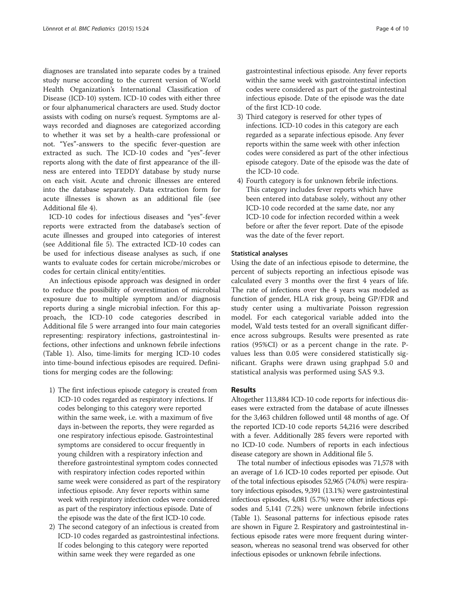diagnoses are translated into separate codes by a trained study nurse according to the current version of World Health Organization's International Classification of Disease (ICD-10) system. ICD-10 codes with either three or four alphanumerical characters are used. Study doctor assists with coding on nurse's request. Symptoms are always recorded and diagnoses are categorized according to whether it was set by a health-care professional or not. "Yes"-answers to the specific fever-question are extracted as such. The ICD-10 codes and "yes"-fever reports along with the date of first appearance of the illness are entered into TEDDY database by study nurse on each visit. Acute and chronic illnesses are entered into the database separately. Data extraction form for acute illnesses is shown as an additional file (see Additional file [4\)](#page-8-0).

ICD-10 codes for infectious diseases and "yes"-fever reports were extracted from the database's section of acute illnesses and grouped into categories of interest (see Additional file [5\)](#page-8-0). The extracted ICD-10 codes can be used for infectious disease analyses as such, if one wants to evaluate codes for certain microbe/microbes or codes for certain clinical entity/entities.

An infectious episode approach was designed in order to reduce the possibility of overestimation of microbial exposure due to multiple symptom and/or diagnosis reports during a single microbial infection. For this approach, the ICD-10 code categories described in Additional file [5](#page-8-0) were arranged into four main categories representing: respiratory infections, gastrointestinal infections, other infections and unknown febrile infections (Table [1\)](#page-4-0). Also, time-limits for merging ICD-10 codes into time-bound infectious episodes are required. Definitions for merging codes are the following:

- 1) The first infectious episode category is created from ICD-10 codes regarded as respiratory infections. If codes belonging to this category were reported within the same week, i.e. with a maximum of five days in-between the reports, they were regarded as one respiratory infectious episode. Gastrointestinal symptoms are considered to occur frequently in young children with a respiratory infection and therefore gastrointestinal symptom codes connected with respiratory infection codes reported within same week were considered as part of the respiratory infectious episode. Any fever reports within same week with respiratory infection codes were considered as part of the respiratory infectious episode. Date of the episode was the date of the first ICD-10 code.
- 2) The second category of an infectious is created from ICD-10 codes regarded as gastrointestinal infections. If codes belonging to this category were reported within same week they were regarded as one

gastrointestinal infectious episode. Any fever reports within the same week with gastrointestinal infection codes were considered as part of the gastrointestinal infectious episode. Date of the episode was the date of the first ICD-10 code.

- 3) Third category is reserved for other types of infections. ICD-10 codes in this category are each regarded as a separate infectious episode. Any fever reports within the same week with other infection codes were considered as part of the other infectious episode category. Date of the episode was the date of the ICD-10 code.
- 4) Fourth category is for unknown febrile infections. This category includes fever reports which have been entered into database solely, without any other ICD-10 code recorded at the same date, nor any ICD-10 code for infection recorded within a week before or after the fever report. Date of the episode was the date of the fever report.

#### Statistical analyses

Using the date of an infectious episode to determine, the percent of subjects reporting an infectious episode was calculated every 3 months over the first 4 years of life. The rate of infections over the 4 years was modeled as function of gender, HLA risk group, being GP/FDR and study center using a multivariate Poisson regression model. For each categorical variable added into the model, Wald tests tested for an overall significant difference across subgroups. Results were presented as rate ratios (95%CI) or as a percent change in the rate. Pvalues less than 0.05 were considered statistically significant. Graphs were drawn using graphpad 5.0 and statistical analysis was performed using SAS 9.3.

#### Results

Altogether 113,884 ICD-10 code reports for infectious diseases were extracted from the database of acute illnesses for the 3,463 children followed until 48 months of age. Of the reported ICD-10 code reports 54,216 were described with a fever. Additionally 285 fevers were reported with no ICD-10 code. Numbers of reports in each infectious disease category are shown in Additional file [5.](#page-8-0)

The total number of infectious episodes was 71,578 with an average of 1.6 ICD-10 codes reported per episode. Out of the total infectious episodes 52,965 (74.0%) were respiratory infectious episodes, 9,391 (13.1%) were gastrointestinal infectious episodes, 4,081 (5.7%) were other infectious episodes and 5,141 (7.2%) were unknown febrile infections (Table [1](#page-4-0)). Seasonal patterns for infectious episode rates are shown in Figure [2](#page-5-0). Respiratory and gastrointestinal infectious episode rates were more frequent during winterseason, whereas no seasonal trend was observed for other infectious episodes or unknown febrile infections.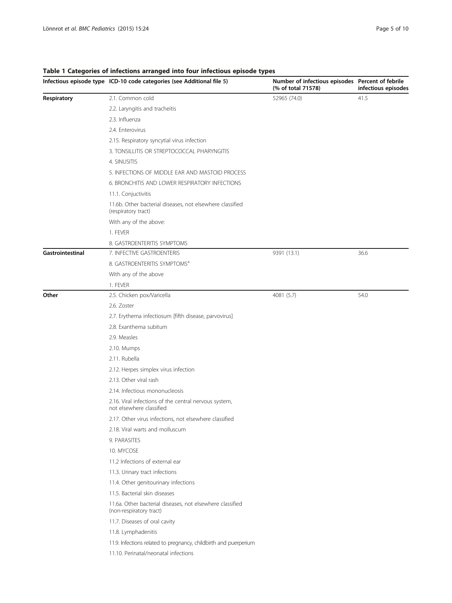|                  | Infectious episode type ICD-10 code categories (see Additional file 5)               | Number of infectious episodes Percent of febrile<br>(% of total 71578) | infectious episodes |  |  |  |  |
|------------------|--------------------------------------------------------------------------------------|------------------------------------------------------------------------|---------------------|--|--|--|--|
| Respiratory      | 2.1. Common cold                                                                     | 52965 (74.0)                                                           | 41.5                |  |  |  |  |
|                  | 2.2. Laryngitis and tracheitis                                                       |                                                                        |                     |  |  |  |  |
|                  | 2.3. Influenza                                                                       |                                                                        |                     |  |  |  |  |
|                  | 2.4. Enterovirus                                                                     |                                                                        |                     |  |  |  |  |
|                  | 2.15. Respiratory syncytial virus infection                                          |                                                                        |                     |  |  |  |  |
|                  | 3. TONSILLITIS OR STREPTOCOCCAL PHARYNGITIS                                          |                                                                        |                     |  |  |  |  |
|                  | 4. SINUSITIS                                                                         |                                                                        |                     |  |  |  |  |
|                  | 5. INFECTIONS OF MIDDLE EAR AND MASTOID PROCESS                                      |                                                                        |                     |  |  |  |  |
|                  | 6. BRONCHITIS AND LOWER RESPIRATORY INFECTIONS                                       |                                                                        |                     |  |  |  |  |
|                  | 11.1. Conjuctivitis                                                                  |                                                                        |                     |  |  |  |  |
|                  | 11.6b. Other bacterial diseases, not elsewhere classified<br>(respiratory tract)     |                                                                        |                     |  |  |  |  |
|                  | With any of the above:                                                               |                                                                        |                     |  |  |  |  |
|                  | 1. FEVER                                                                             |                                                                        |                     |  |  |  |  |
|                  | 8. GASTROENTERITIS SYMPTOMS                                                          |                                                                        |                     |  |  |  |  |
| Gastrointestinal | 7. INFECTIVE GASTROENTERIS                                                           | 9391 (13.1)                                                            | 36.6                |  |  |  |  |
|                  | 8. GASTROENTERITIS SYMPTOMS <sup>a</sup>                                             |                                                                        |                     |  |  |  |  |
|                  | With any of the above                                                                |                                                                        |                     |  |  |  |  |
|                  | 1. FEVER                                                                             |                                                                        |                     |  |  |  |  |
| Other            | 2.5. Chicken pox/Varicella                                                           | 4081 (5.7)                                                             | 54.0                |  |  |  |  |
|                  | 2.6. Zoster                                                                          |                                                                        |                     |  |  |  |  |
|                  | 2.7. Erythema infectiosum [fifth disease, parvovirus]                                |                                                                        |                     |  |  |  |  |
|                  | 2.8. Exanthema subitum                                                               |                                                                        |                     |  |  |  |  |
|                  | 2.9. Measles                                                                         |                                                                        |                     |  |  |  |  |
|                  | 2.10. Mumps                                                                          |                                                                        |                     |  |  |  |  |
|                  | 2.11. Rubella                                                                        |                                                                        |                     |  |  |  |  |
|                  | 2.12. Herpes simplex virus infection                                                 |                                                                        |                     |  |  |  |  |
|                  | 2.13. Other viral rash                                                               |                                                                        |                     |  |  |  |  |
|                  | 2.14. Infectious mononucleosis                                                       |                                                                        |                     |  |  |  |  |
|                  | 2.16. Viral infections of the central nervous system,<br>not elsewhere classified    |                                                                        |                     |  |  |  |  |
|                  | 2.17. Other virus infections, not elsewhere classified                               |                                                                        |                     |  |  |  |  |
|                  | 2.18. Viral warts and molluscum                                                      |                                                                        |                     |  |  |  |  |
|                  | 9. PARASITES                                                                         |                                                                        |                     |  |  |  |  |
|                  | 10. MYCOSE                                                                           |                                                                        |                     |  |  |  |  |
|                  | 11.2 Infections of external ear                                                      |                                                                        |                     |  |  |  |  |
|                  | 11.3. Urinary tract infections                                                       |                                                                        |                     |  |  |  |  |
|                  | 11.4. Other genitourinary infections                                                 |                                                                        |                     |  |  |  |  |
|                  | 11.5. Bacterial skin diseases                                                        |                                                                        |                     |  |  |  |  |
|                  | 11.6a. Other bacterial diseases, not elsewhere classified<br>(non-respiratory tract) |                                                                        |                     |  |  |  |  |
|                  | 11.7. Diseases of oral cavity                                                        |                                                                        |                     |  |  |  |  |
|                  | 11.8. Lymphadenitis                                                                  |                                                                        |                     |  |  |  |  |
|                  | 11.9. Infections related to pregnancy, childbirth and puerperium                     |                                                                        |                     |  |  |  |  |
|                  | 11.10. Perinatal/neonatal infections                                                 |                                                                        |                     |  |  |  |  |
|                  |                                                                                      |                                                                        |                     |  |  |  |  |

### <span id="page-4-0"></span>Table 1 Categories of infections arranged into four infectious episode types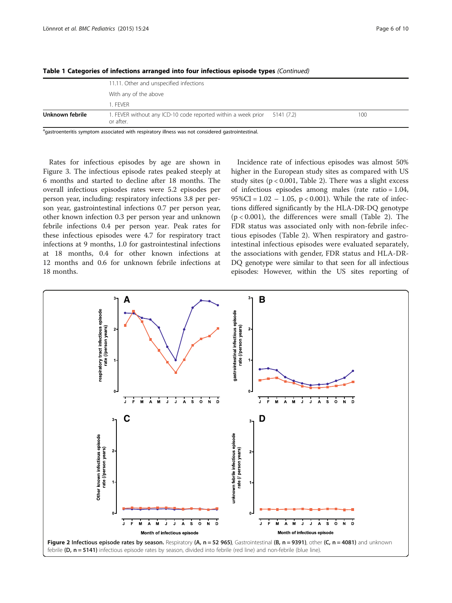|                 | 11.11. Other and unspecified infections                                    |            |     |
|-----------------|----------------------------------------------------------------------------|------------|-----|
|                 | With any of the above                                                      |            |     |
|                 | 1. FFVFR                                                                   |            |     |
| Unknown febrile | 1. FEVER without any ICD-10 code reported within a week prior<br>or after. | 5141 (7.2) | 100 |

<span id="page-5-0"></span>

|  | Table 1 Categories of infections arranged into four infectious episode types (Continued) |  |  |  |  |  |  |  |  |
|--|------------------------------------------------------------------------------------------|--|--|--|--|--|--|--|--|
|--|------------------------------------------------------------------------------------------|--|--|--|--|--|--|--|--|

<sup>a</sup>gastroenteritis symptom associated with respiratory illness was not considered gastrointestinal.

Rates for infectious episodes by age are shown in Figure [3](#page-6-0). The infectious episode rates peaked steeply at 6 months and started to decline after 18 months. The overall infectious episodes rates were 5.2 episodes per person year, including: respiratory infections 3.8 per person year, gastrointestinal infections 0.7 per person year, other known infection 0.3 per person year and unknown febrile infections 0.4 per person year. Peak rates for these infectious episodes were 4.7 for respiratory tract infections at 9 months, 1.0 for gastrointestinal infections at 18 months, 0.4 for other known infections at 12 months and 0.6 for unknown febrile infections at 18 months.

Incidence rate of infectious episodes was almost 50% higher in the European study sites as compared with US study sites ( $p < 0.001$ , Table [2](#page-6-0)). There was a slight excess of infectious episodes among males (rate ratio = 1.04, 95%CI =  $1.02 - 1.05$ , p < 0.001). While the rate of infections differed significantly by the HLA-DR-DQ genotype  $(p < 0.001)$ , the differences were small (Table [2\)](#page-6-0). The FDR status was associated only with non-febrile infectious episodes (Table [2\)](#page-6-0). When respiratory and gastrointestinal infectious episodes were evaluated separately, the associations with gender, FDR status and HLA-DR-DQ genotype were similar to that seen for all infectious episodes: However, within the US sites reporting of

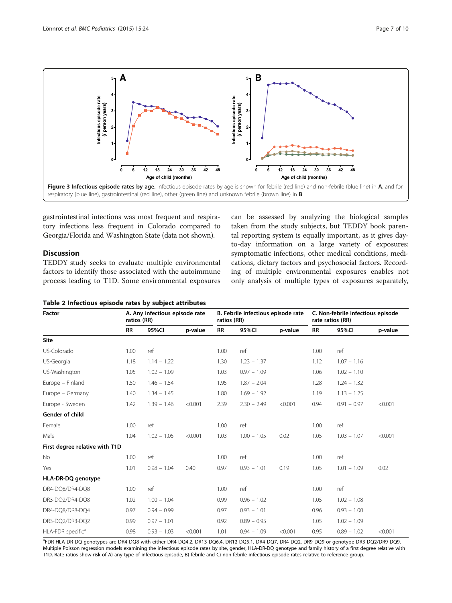<span id="page-6-0"></span>

gastrointestinal infections was most frequent and respiratory infections less frequent in Colorado compared to Georgia/Florida and Washington State (data not shown).

#### **Discussion**

TEDDY study seeks to evaluate multiple environmental factors to identify those associated with the autoimmune process leading to T1D. Some environmental exposures

| Table 2 Infectious episode rates by subject attributes |  |  |  |  |
|--------------------------------------------------------|--|--|--|--|
|--------------------------------------------------------|--|--|--|--|

can be assessed by analyzing the biological samples taken from the study subjects, but TEDDY book parental reporting system is equally important, as it gives dayto-day information on a large variety of exposures: symptomatic infections, other medical conditions, medications, dietary factors and psychosocial factors. Recording of multiple environmental exposures enables not only analysis of multiple types of exposures separately,

| Factor                         | A. Any infectious episode rate<br>ratios (RR) |               |         | B. Febrile infectious episode rate<br>ratios (RR) |               |         | C. Non-febrile infectious episode<br>rate ratios (RR) |               |         |
|--------------------------------|-----------------------------------------------|---------------|---------|---------------------------------------------------|---------------|---------|-------------------------------------------------------|---------------|---------|
|                                | <b>RR</b>                                     | 95%CI         | p-value | <b>RR</b>                                         | 95%CI         | p-value | <b>RR</b>                                             | 95%CI         | p-value |
| <b>Site</b>                    |                                               |               |         |                                                   |               |         |                                                       |               |         |
| US-Colorado                    | 1.00                                          | ref           |         | 1.00                                              | ref           |         | 1.00                                                  | ref           |         |
| US-Georgia                     | 1.18                                          | $1.14 - 1.22$ |         | 1.30                                              | $1.23 - 1.37$ |         | 1.12                                                  | $1.07 - 1.16$ |         |
| US-Washington                  | 1.05                                          | $1.02 - 1.09$ |         | 1.03                                              | $0.97 - 1.09$ |         | 1.06                                                  | $1.02 - 1.10$ |         |
| Europe - Finland               | 1.50                                          | $1.46 - 1.54$ |         | 1.95                                              | $1.87 - 2.04$ |         | 1.28                                                  | $1.24 - 1.32$ |         |
| Europe - Germany               | 1.40                                          | $1.34 - 1.45$ |         | 1.80                                              | $1.69 - 1.92$ |         | 1.19                                                  | $1.13 - 1.25$ |         |
| Europe - Sweden                | 1.42                                          | $1.39 - 1.46$ | < 0.001 | 2.39                                              | $2.30 - 2.49$ | < 0.001 | 0.94                                                  | $0.91 - 0.97$ | < 0.001 |
| Gender of child                |                                               |               |         |                                                   |               |         |                                                       |               |         |
| Female                         | 1.00                                          | ref           |         | 1.00                                              | ref           |         | 1.00                                                  | ref           |         |
| Male                           | 1.04                                          | $1.02 - 1.05$ | < 0.001 | 1.03                                              | $1.00 - 1.05$ | 0.02    | 1.05                                                  | $1.03 - 1.07$ | < 0.001 |
| First degree relative with T1D |                                               |               |         |                                                   |               |         |                                                       |               |         |
| <b>No</b>                      | 1.00                                          | ref           |         | 1.00                                              | ref           |         | 1.00                                                  | ref           |         |
| Yes                            | 1.01                                          | $0.98 - 1.04$ | 0.40    | 0.97                                              | $0.93 - 1.01$ | 0.19    | 1.05                                                  | $1.01 - 1.09$ | 0.02    |
| HLA-DR-DQ genotype             |                                               |               |         |                                                   |               |         |                                                       |               |         |
| DR4-DQ8/DR4-DQ8                | 1.00                                          | ref           |         | 1.00                                              | ref           |         | 1.00                                                  | ref           |         |
| DR3-DQ2/DR4-DQ8                | 1.02                                          | $1.00 - 1.04$ |         | 0.99                                              | $0.96 - 1.02$ |         | 1.05                                                  | $1.02 - 1.08$ |         |
| DR4-DQ8/DR8-DQ4                | 0.97                                          | $0.94 - 0.99$ |         | 0.97                                              | $0.93 - 1.01$ |         | 0.96                                                  | $0.93 - 1.00$ |         |
| DR3-DQ2/DR3-DQ2                | 0.99                                          | $0.97 - 1.01$ |         | 0.92                                              | $0.89 - 0.95$ |         | 1.05                                                  | $1.02 - 1.09$ |         |
| HLA-FDR specific <sup>a</sup>  | 0.98                                          | $0.93 - 1.03$ | < 0.001 | 1.01                                              | $0.94 - 1.09$ | < 0.001 | 0.95                                                  | $0.89 - 1.02$ | < 0.001 |

a FDR HLA-DR-DQ genotypes are DR4-DQ8 with either DR4-DQ4.2, DR13-DQ6.4, DR12-DQ5.1, DR4-DQ7, DR4-DQ2, DR9-DQ9 or genotype DR3-DQ2/DR9-DQ9. Multiple Poisson regression models examining the infectious episode rates by site, gender, HLA-DR-DQ genotype and family history of a first degree relative with T1D. Rate ratios show risk of A) any type of infectious episode, B) febrile and C) non-febrile infectious episode rates relative to reference group.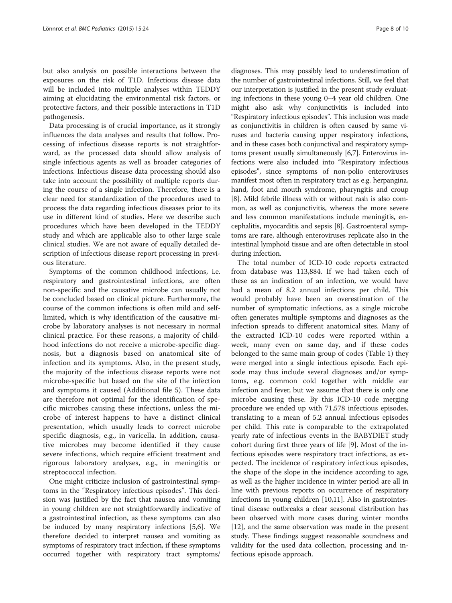but also analysis on possible interactions between the exposures on the risk of T1D. Infectious disease data will be included into multiple analyses within TEDDY aiming at elucidating the environmental risk factors, or protective factors, and their possible interactions in T1D pathogenesis.

Data processing is of crucial importance, as it strongly influences the data analyses and results that follow. Processing of infectious disease reports is not straightforward, as the processed data should allow analysis of single infectious agents as well as broader categories of infections. Infectious disease data processing should also take into account the possibility of multiple reports during the course of a single infection. Therefore, there is a clear need for standardization of the procedures used to process the data regarding infectious diseases prior to its use in different kind of studies. Here we describe such procedures which have been developed in the TEDDY study and which are applicable also to other large scale clinical studies. We are not aware of equally detailed description of infectious disease report processing in previous literature.

Symptoms of the common childhood infections, i.e. respiratory and gastrointestinal infections, are often non-specific and the causative microbe can usually not be concluded based on clinical picture. Furthermore, the course of the common infections is often mild and selflimited, which is why identification of the causative microbe by laboratory analyses is not necessary in normal clinical practice. For these reasons, a majority of childhood infections do not receive a microbe-specific diagnosis, but a diagnosis based on anatomical site of infection and its symptoms. Also, in the present study, the majority of the infectious disease reports were not microbe-specific but based on the site of the infection and symptoms it caused (Additional file [5\)](#page-8-0). These data are therefore not optimal for the identification of specific microbes causing these infections, unless the microbe of interest happens to have a distinct clinical presentation, which usually leads to correct microbe specific diagnosis, e.g., in varicella. In addition, causative microbes may become identified if they cause severe infections, which require efficient treatment and rigorous laboratory analyses, e.g., in meningitis or streptococcal infection.

One might criticize inclusion of gastrointestinal symptoms in the "Respiratory infectious episodes". This decision was justified by the fact that nausea and vomiting in young children are not straightforwardly indicative of a gastrointestinal infection, as these symptoms can also be induced by many respiratory infections [\[5,6](#page-9-0)]. We therefore decided to interpret nausea and vomiting as symptoms of respiratory tract infection, if these symptoms occurred together with respiratory tract symptoms/ diagnoses. This may possibly lead to underestimation of the number of gastrointestinal infections. Still, we feel that our interpretation is justified in the present study evaluating infections in these young 0–4 year old children. One might also ask why conjunctivitis is included into "Respiratory infectious episodes". This inclusion was made as conjunctivitis in children is often caused by same viruses and bacteria causing upper respiratory infections, and in these cases both conjunctival and respiratory symptoms present usually simultaneously [[6](#page-9-0),[7](#page-9-0)]. Enterovirus infections were also included into "Respiratory infectious episodes", since symptoms of non-polio enteroviruses manifest most often in respiratory tract as e.g. herpangina, hand, foot and mouth syndrome, pharyngitis and croup [[8\]](#page-9-0). Mild febrile illness with or without rash is also common, as well as conjunctivitis, whereas the more severe and less common manifestations include meningitis, encephalitis, myocarditis and sepsis [[8](#page-9-0)]. Gastroenteral symptoms are rare, although enteroviruses replicate also in the intestinal lymphoid tissue and are often detectable in stool during infection.

The total number of ICD-10 code reports extracted from database was 113,884. If we had taken each of these as an indication of an infection, we would have had a mean of 8.2 annual infections per child. This would probably have been an overestimation of the number of symptomatic infections, as a single microbe often generates multiple symptoms and diagnoses as the infection spreads to different anatomical sites. Many of the extracted ICD-10 codes were reported within a week, many even on same day, and if these codes belonged to the same main group of codes (Table [1](#page-4-0)) they were merged into a single infectious episode. Each episode may thus include several diagnoses and/or symptoms, e.g. common cold together with middle ear infection and fever, but we assume that there is only one microbe causing these. By this ICD-10 code merging procedure we ended up with 71,578 infectious episodes, translating to a mean of 5.2 annual infectious episodes per child. This rate is comparable to the extrapolated yearly rate of infectious events in the BABYDIET study cohort during first three years of life [\[9\]](#page-9-0). Most of the infectious episodes were respiratory tract infections, as expected. The incidence of respiratory infectious episodes, the shape of the slope in the incidence according to age, as well as the higher incidence in winter period are all in line with previous reports on occurrence of respiratory infections in young children [\[10,11](#page-9-0)]. Also in gastrointestinal disease outbreaks a clear seasonal distribution has been observed with more cases during winter months [[12\]](#page-9-0), and the same observation was made in the present study. These findings suggest reasonable soundness and validity for the used data collection, processing and infectious episode approach.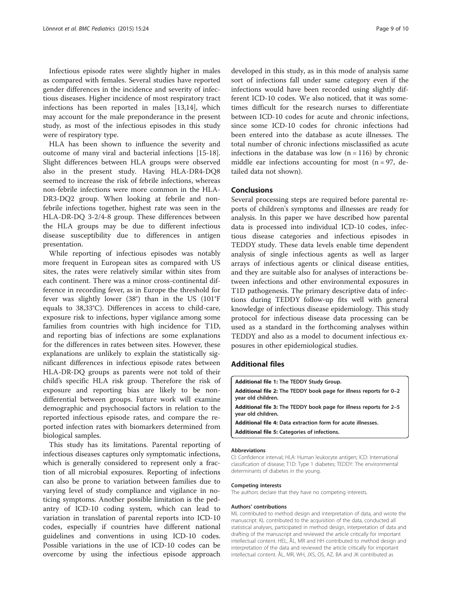<span id="page-8-0"></span>Infectious episode rates were slightly higher in males as compared with females. Several studies have reported gender differences in the incidence and severity of infectious diseases. Higher incidence of most respiratory tract infections has been reported in males [\[13,14\]](#page-9-0), which may account for the male preponderance in the present study, as most of the infectious episodes in this study were of respiratory type.

HLA has been shown to influence the severity and outcome of many viral and bacterial infections [\[15-18](#page-9-0)]. Slight differences between HLA groups were observed also in the present study. Having HLA-DR4-DQ8 seemed to increase the risk of febrile infections, whereas non-febrile infections were more common in the HLA-DR3-DQ2 group. When looking at febrile and nonfebrile infections together, highest rate was seen in the HLA-DR-DQ 3-2/4-8 group. These differences between the HLA groups may be due to different infectious disease susceptibility due to differences in antigen presentation.

While reporting of infectious episodes was notably more frequent in European sites as compared with US sites, the rates were relatively similar within sites from each continent. There was a minor cross-continental difference in recording fever, as in Europe the threshold for fever was slightly lower (38°) than in the US (101°F equals to 38,33°C). Differences in access to child-care, exposure risk to infections, hyper vigilance among some families from countries with high incidence for T1D, and reporting bias of infections are some explanations for the differences in rates between sites. However, these explanations are unlikely to explain the statistically significant differences in infectious episode rates between HLA-DR-DQ groups as parents were not told of their child's specific HLA risk group. Therefore the risk of exposure and reporting bias are likely to be nondifferential between groups. Future work will examine demographic and psychosocial factors in relation to the reported infectious episode rates, and compare the reported infection rates with biomarkers determined from biological samples.

This study has its limitations. Parental reporting of infectious diseases captures only symptomatic infections, which is generally considered to represent only a fraction of all microbial exposures. Reporting of infections can also be prone to variation between families due to varying level of study compliance and vigilance in noticing symptoms. Another possible limitation is the pedantry of ICD-10 coding system, which can lead to variation in translation of parental reports into ICD-10 codes, especially if countries have different national guidelines and conventions in using ICD-10 codes. Possible variations in the use of ICD-10 codes can be overcome by using the infectious episode approach

developed in this study, as in this mode of analysis same sort of infections fall under same category even if the infections would have been recorded using slightly different ICD-10 codes. We also noticed, that it was sometimes difficult for the research nurses to differentiate between ICD-10 codes for acute and chronic infections, since some ICD-10 codes for chronic infections had been entered into the database as acute illnesses. The total number of chronic infections misclassified as acute infections in the database was low  $(n = 116)$  by chronic middle ear infections accounting for most  $(n = 97, de$ tailed data not shown).

#### Conclusions

Several processing steps are required before parental reports of children's symptoms and illnesses are ready for analysis. In this paper we have described how parental data is processed into individual ICD-10 codes, infectious disease categories and infectious episodes in TEDDY study. These data levels enable time dependent analysis of single infectious agents as well as larger arrays of infectious agents or clinical disease entities, and they are suitable also for analyses of interactions between infections and other environmental exposures in T1D pathogenesis. The primary descriptive data of infections during TEDDY follow-up fits well with general knowledge of infectious disease epidemiology. This study protocol for infectious disease data processing can be used as a standard in the forthcoming analyses within TEDDY and also as a model to document infectious exposures in other epidemiological studies.

#### Additional files

[Additional file 1:](http://www.biomedcentral.com/content/supplementary/s12887-015-0333-8-s1.docx) The TEDDY Study Group. [Additional file 2:](http://www.biomedcentral.com/content/supplementary/s12887-015-0333-8-s2.pdf) The TEDDY book page for illness reports for 0–2 year old children. [Additional file 3:](http://www.biomedcentral.com/content/supplementary/s12887-015-0333-8-s3.pdf) The TEDDY book page for illness reports for 2–5 year old children. [Additional file 4:](http://www.biomedcentral.com/content/supplementary/s12887-015-0333-8-s4.pdf) Data extraction form for acute illnesses. [Additional file 5:](http://www.biomedcentral.com/content/supplementary/s12887-015-0333-8-s5.docx) Categories of infections.

#### Abbreviations

CI: Confidence interval; HLA: Human leukocyte antigen; ICD: International classification of disease; T1D: Type 1 diabetes; TEDDY: The environmental determinants of diabetes in the young.

#### Competing interests

The authors declare that they have no competing interests.

#### Authors' contributions

ML contributed to method design and interpretation of data, and wrote the manuscript. KL contributed to the acquisition of the data, conducted all statistical analyses, participated in method design, interpretation of data and drafting of the manuscript and reviewed the article critically for important intellectual content. HEL, ÅL, MR and HH contributed to method design and interpretation of the data and reviewed the article critically for important intellectual content. ÅL, MR, WH, JXS, OS, AZ, BA and JK contributed as